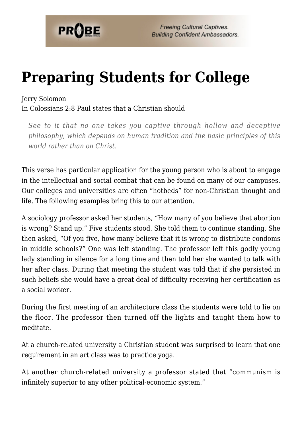

# **[Preparing Students for College](https://probe.org/preparing-students-for-college/)**

#### Jerry Solomon

In Colossians 2:8 Paul states that a Christian should

*See to it that no one takes you captive through hollow and deceptive philosophy, which depends on human tradition and the basic principles of this world rather than on Christ.*

This verse has particular application for the young person who is about to engage in the intellectual and social combat that can be found on many of our campuses. Our colleges and universities are often "hotbeds" for non-Christian thought and life. The following examples bring this to our attention.

A sociology professor asked her students, "How many of you believe that abortion is wrong? Stand up." Five students stood. She told them to continue standing. She then asked, "Of you five, how many believe that it is wrong to distribute condoms in middle schools?" One was left standing. The professor left this godly young lady standing in silence for a long time and then told her she wanted to talk with her after class. During that meeting the student was told that if she persisted in such beliefs she would have a great deal of difficulty receiving her certification as a social worker.

During the first meeting of an architecture class the students were told to lie on the floor. The professor then turned off the lights and taught them how to meditate.

At a church-related university a Christian student was surprised to learn that one requirement in an art class was to practice yoga.

At another church-related university a professor stated that "communism is infinitely superior to any other political-economic system."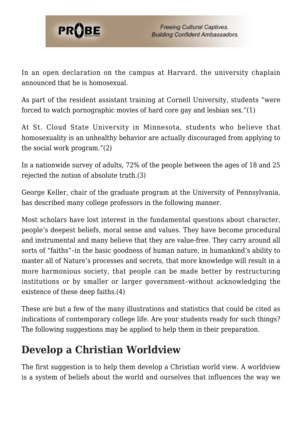

In an open declaration on the campus at Harvard, the university chaplain announced that he is homosexual.

As part of the resident assistant training at Cornell University, students "were forced to watch pornographic movies of hard core gay and lesbian sex."(1)

At St. Cloud State University in Minnesota, students who believe that homosexuality is an unhealthy behavior are actually discouraged from applying to the social work program."(2)

In a nationwide survey of adults, 72% of the people between the ages of 18 and 25 rejected the notion of absolute truth.(3)

George Keller, chair of the graduate program at the University of Pennsylvania, has described many college professors in the following manner.

Most scholars have lost interest in the fundamental questions about character, people's deepest beliefs, moral sense and values. They have become procedural and instrumental and many believe that they are value-free. They carry around all sorts of "faiths"–in the basic goodness of human nature, in humankind's ability to master all of Nature's processes and secrets, that more knowledge will result in a more harmonious society, that people can be made better by restructuring institutions or by smaller or larger government–without acknowledging the existence of these deep faiths.(4)

These are but a few of the many illustrations and statistics that could be cited as indications of contemporary college life. Are your students ready for such things? The following suggestions may be applied to help them in their preparation.

### **Develop a Christian Worldview**

The first suggestion is to help them develop a Christian world view. A worldview is a system of beliefs about the world and ourselves that influences the way we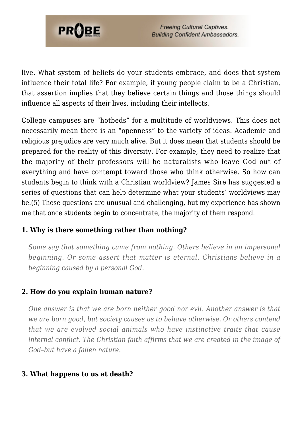

live. What system of beliefs do your students embrace, and does that system influence their total life? For example, if young people claim to be a Christian, that assertion implies that they believe certain things and those things should influence all aspects of their lives, including their intellects.

College campuses are "hotbeds" for a multitude of worldviews. This does not necessarily mean there is an "openness" to the variety of ideas. Academic and religious prejudice are very much alive. But it does mean that students should be prepared for the reality of this diversity. For example, they need to realize that the majority of their professors will be naturalists who leave God out of everything and have contempt toward those who think otherwise. So how can students begin to think with a Christian worldview? James Sire has suggested a series of questions that can help determine what your students' worldviews may be.(5) These questions are unusual and challenging, but my experience has shown me that once students begin to concentrate, the majority of them respond.

#### **1. Why is there something rather than nothing?**

*Some say that something came from nothing. Others believe in an impersonal beginning. Or some assert that matter is eternal. Christians believe in a beginning caused by a personal God.*

#### **2. How do you explain human nature?**

*One answer is that we are born neither good nor evil. Another answer is that we are born good, but society causes us to behave otherwise. Or others contend that we are evolved social animals who have instinctive traits that cause internal conflict. The Christian faith affirms that we are created in the image of God–but have a fallen nature.*

### **3. What happens to us at death?**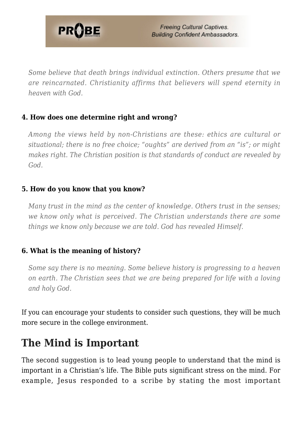

*Some believe that death brings individual extinction. Others presume that we are reincarnated. Christianity affirms that believers will spend eternity in heaven with God.*

### **4. How does one determine right and wrong?**

*Among the views held by non-Christians are these: ethics are cultural or situational; there is no free choice; "oughts" are derived from an "is"; or might makes right. The Christian position is that standards of conduct are revealed by God.*

#### **5. How do you know that you know?**

*Many trust in the mind as the center of knowledge. Others trust in the senses; we know only what is perceived. The Christian understands there are some things we know only because we are told. God has revealed Himself.*

### **6. What is the meaning of history?**

*Some say there is no meaning. Some believe history is progressing to a heaven on earth. The Christian sees that we are being prepared for life with a loving and holy God.*

If you can encourage your students to consider such questions, they will be much more secure in the college environment.

### **The Mind is Important**

The second suggestion is to lead young people to understand that the mind is important in a Christian's life. The Bible puts significant stress on the mind. For example, Jesus responded to a scribe by stating the most important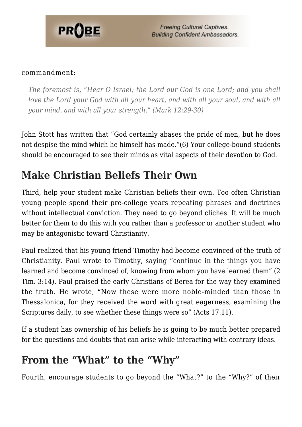

**Freeing Cultural Captives. Building Confident Ambassadors.** 

#### commandment:

*The foremost is, "Hear O Israel; the Lord our God is one Lord; and you shall love the Lord your God with all your heart, and with all your soul, and with all your mind, and with all your strength." (Mark 12:29-30)*

John Stott has written that "God certainly abases the pride of men, but he does not despise the mind which he himself has made."(6) Your college-bound students should be encouraged to see their minds as vital aspects of their devotion to God.

### **Make Christian Beliefs Their Own**

Third, help your student make Christian beliefs their own. Too often Christian young people spend their pre-college years repeating phrases and doctrines without intellectual conviction. They need to go beyond cliches. It will be much better for them to do this with you rather than a professor or another student who may be antagonistic toward Christianity.

Paul realized that his young friend Timothy had become convinced of the truth of Christianity. Paul wrote to Timothy, saying "continue in the things you have learned and become convinced of, knowing from whom you have learned them" (2 Tim. 3:14). Paul praised the early Christians of Berea for the way they examined the truth. He wrote, "Now these were more noble-minded than those in Thessalonica, for they received the word with great eagerness, examining the Scriptures daily, to see whether these things were so" (Acts 17:11).

If a student has ownership of his beliefs he is going to be much better prepared for the questions and doubts that can arise while interacting with contrary ideas.

### **From the "What" to the "Why"**

Fourth, encourage students to go beyond the "What?" to the "Why?" of their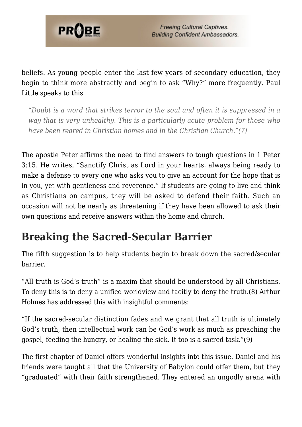

beliefs. As young people enter the last few years of secondary education, they begin to think more abstractly and begin to ask "Why?" more frequently. Paul Little speaks to this.

*"Doubt is a word that strikes terror to the soul and often it is suppressed in a way that is very unhealthy. This is a particularly acute problem for those who have been reared in Christian homes and in the Christian Church."(7)*

The apostle Peter affirms the need to find answers to tough questions in 1 Peter 3:15. He writes, "Sanctify Christ as Lord in your hearts, always being ready to make a defense to every one who asks you to give an account for the hope that is in you, yet with gentleness and reverence." If students are going to live and think as Christians on campus, they will be asked to defend their faith. Such an occasion will not be nearly as threatening if they have been allowed to ask their own questions and receive answers within the home and church.

### **Breaking the Sacred-Secular Barrier**

The fifth suggestion is to help students begin to break down the sacred/secular barrier.

"All truth is God's truth" is a maxim that should be understood by all Christians. To deny this is to deny a unified worldview and tacitly to deny the truth.(8) Arthur Holmes has addressed this with insightful comments:

"If the sacred-secular distinction fades and we grant that all truth is ultimately God's truth, then intellectual work can be God's work as much as preaching the gospel, feeding the hungry, or healing the sick. It too is a sacred task."(9)

The first chapter of Daniel offers wonderful insights into this issue. Daniel and his friends were taught all that the University of Babylon could offer them, but they "graduated" with their faith strengthened. They entered an ungodly arena with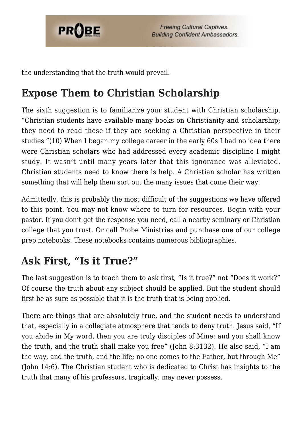

the understanding that the truth would prevail.

# **Expose Them to Christian Scholarship**

The sixth suggestion is to familiarize your student with Christian scholarship. "Christian students have available many books on Christianity and scholarship; they need to read these if they are seeking a Christian perspective in their studies."(10) When I began my college career in the early 60s I had no idea there were Christian scholars who had addressed every academic discipline I might study. It wasn't until many years later that this ignorance was alleviated. Christian students need to know there is help. A Christian scholar has written something that will help them sort out the many issues that come their way.

Admittedly, this is probably the most difficult of the suggestions we have offered to this point. You may not know where to turn for resources. Begin with your pastor. If you don't get the response you need, call a nearby seminary or Christian college that you trust. Or call Probe Ministries and purchase one of our college prep notebooks. These notebooks contains numerous bibliographies.

## **Ask First, "Is it True?"**

The last suggestion is to teach them to ask first, "Is it true?" not "Does it work?" Of course the truth about any subject should be applied. But the student should first be as sure as possible that it is the truth that is being applied.

There are things that are absolutely true, and the student needs to understand that, especially in a collegiate atmosphere that tends to deny truth. Jesus said, "If you abide in My word, then you are truly disciples of Mine; and you shall know the truth, and the truth shall make you free" (John 8:3132). He also said, "I am the way, and the truth, and the life; no one comes to the Father, but through Me" (John 14:6). The Christian student who is dedicated to Christ has insights to the truth that many of his professors, tragically, may never possess.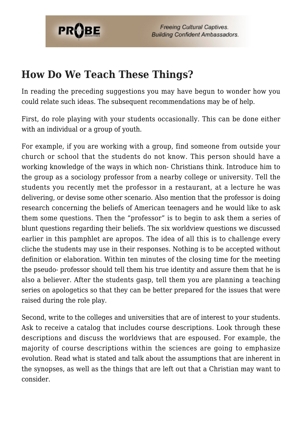

**Freeing Cultural Captives. Building Confident Ambassadors.** 

### **How Do We Teach These Things?**

In reading the preceding suggestions you may have begun to wonder how you could relate such ideas. The subsequent recommendations may be of help.

First, do role playing with your students occasionally. This can be done either with an individual or a group of youth.

For example, if you are working with a group, find someone from outside your church or school that the students do not know. This person should have a working knowledge of the ways in which non- Christians think. Introduce him to the group as a sociology professor from a nearby college or university. Tell the students you recently met the professor in a restaurant, at a lecture he was delivering, or devise some other scenario. Also mention that the professor is doing research concerning the beliefs of American teenagers and he would like to ask them some questions. Then the "professor" is to begin to ask them a series of blunt questions regarding their beliefs. The six worldview questions we discussed earlier in this pamphlet are apropos. The idea of all this is to challenge every cliche the students may use in their responses. Nothing is to be accepted without definition or elaboration. Within ten minutes of the closing time for the meeting the pseudo- professor should tell them his true identity and assure them that he is also a believer. After the students gasp, tell them you are planning a teaching series on apologetics so that they can be better prepared for the issues that were raised during the role play.

Second, write to the colleges and universities that are of interest to your students. Ask to receive a catalog that includes course descriptions. Look through these descriptions and discuss the worldviews that are espoused. For example, the majority of course descriptions within the sciences are going to emphasize evolution. Read what is stated and talk about the assumptions that are inherent in the synopses, as well as the things that are left out that a Christian may want to consider.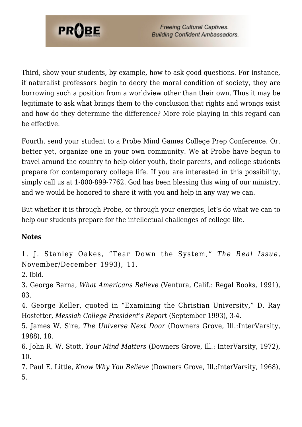

Third, show your students, by example, how to ask good questions. For instance, if naturalist professors begin to decry the moral condition of society, they are borrowing such a position from a worldview other than their own. Thus it may be legitimate to ask what brings them to the conclusion that rights and wrongs exist and how do they determine the difference? More role playing in this regard can be effective.

Fourth, send your student to a Probe Mind Games College Prep Conference. Or, better yet, organize one in your own community. We at Probe have begun to travel around the country to help older youth, their parents, and college students prepare for contemporary college life. If you are interested in this possibility, simply call us at 1-800-899-7762. God has been blessing this wing of our ministry, and we would be honored to share it with you and help in any way we can.

But whether it is through Probe, or through your energies, let's do what we can to help our students prepare for the intellectual challenges of college life.

### **Notes**

1. J. Stanley Oakes, "Tear Down the System," *The Real Issue*, November/December 1993), 11.

2. Ibid.

3. George Barna, *What Americans Believe* (Ventura, Calif.: Regal Books, 1991), 83.

4. George Keller, quoted in "Examining the Christian University," D. Ray Hostetter, *Messiah College President's Report* (September 1993), 3-4.

5. James W. Sire, *The Universe Next Door* (Downers Grove, Ill.:InterVarsity, 1988), 18.

6. John R. W. Stott, *Your Mind Matters* (Downers Grove, Ill.: InterVarsity, 1972), 10.

7. Paul E. Little, *Know Why You Believe* (Downers Grove, Ill.:InterVarsity, 1968), 5.